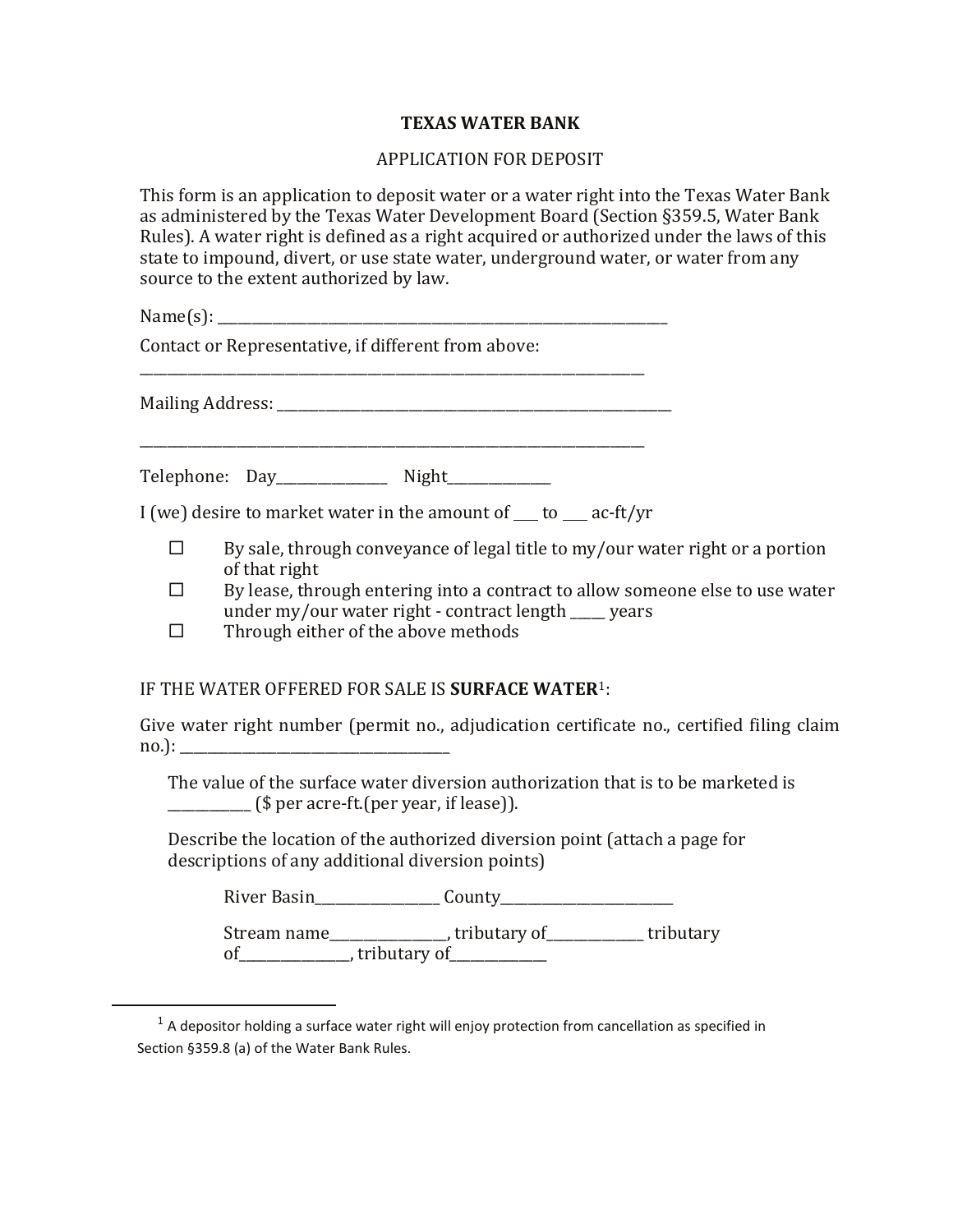## **TEXAS WATER BANK**

## APPLICATION FOR DEPOSIT

This form is an application to deposit water or a water right into the Texas Water Bank as administered by the Texas Water Development Board (Section §359.5, Water Bank Rules). A water right is defined as a right acquired or authorized under the laws of this state to impound, divert, or use state water, underground water, or water from any source to the extent authorized by law.

 $Name(s):$ 

Contact or Representative, if different from above:

Mailing Address: \_\_\_\_\_\_\_\_\_\_\_\_\_\_\_\_\_\_\_\_\_\_\_\_\_\_\_\_\_\_\_\_\_\_\_\_\_\_\_\_\_\_\_\_\_\_\_\_\_\_\_\_\_\_\_\_\_

<span id="page-0-0"></span>l

\_\_\_\_\_\_\_\_\_\_\_\_\_\_\_\_\_\_\_\_\_\_\_\_\_\_\_\_\_\_\_\_\_\_\_\_\_\_\_\_\_\_\_\_\_\_\_\_\_\_\_\_\_\_\_\_\_\_\_\_\_\_\_\_\_\_\_\_\_\_\_\_\_ Telephone: Day\_\_\_\_\_\_\_\_\_\_\_\_\_\_\_\_ Night\_\_\_\_\_\_\_\_\_\_\_\_\_\_\_

I (we) desire to market water in the amount of  $\qquad$  to  $\qquad$  ac-ft/yr

\_\_\_\_\_\_\_\_\_\_\_\_\_\_\_\_\_\_\_\_\_\_\_\_\_\_\_\_\_\_\_\_\_\_\_\_\_\_\_\_\_\_\_\_\_\_\_\_\_\_\_\_\_\_\_\_\_\_\_\_\_\_\_\_\_\_\_\_\_\_\_\_\_

- $\Box$  By sale, through conveyance of legal title to my/our water right or a portion of that right
- $\Box$  By lease, through entering into a contract to allow someone else to use water under my/our water right - contract length vears
- $\Box$  Through either of the above methods

IF THE WATER OFFERED FOR SALE IS **SURFACE WATER**[1](#page-0-0):

Give water right number (permit no., adjudication certificate no., certified filing claim no.): \_\_\_\_\_\_\_\_\_\_\_\_\_\_\_\_\_\_\_\_\_\_\_\_\_\_\_\_\_\_\_\_\_\_\_\_\_\_\_

The value of the surface water diversion authorization that is to be marketed is  $\frac{1}{2}$  (\$ per acre-ft.(per year, if lease)).

Describe the location of the authorized diversion point (attach a page for descriptions of any additional diversion points)

River Basin\_\_\_\_\_\_\_\_\_\_\_\_\_\_\_\_\_\_ County\_\_\_\_\_\_\_\_\_\_\_\_\_\_\_\_\_\_\_\_\_\_\_\_\_

Stream name\_\_\_\_\_\_\_\_\_\_\_\_\_\_, tributary of\_\_\_\_\_\_\_\_\_\_\_\_\_\_ tributary  $\overline{\text{of}}$   $\overline{\text{of}}$   $\overline{\text{of}}$   $\overline{\text{of}}$   $\overline{\text{of}}$   $\overline{\text{of}}$   $\overline{\text{of}}$   $\overline{\text{of}}$ 

 $<sup>1</sup>$  A depositor holding a surface water right will enjoy protection from cancellation as specified in</sup> Section §359.8 (a) of the Water Bank Rules.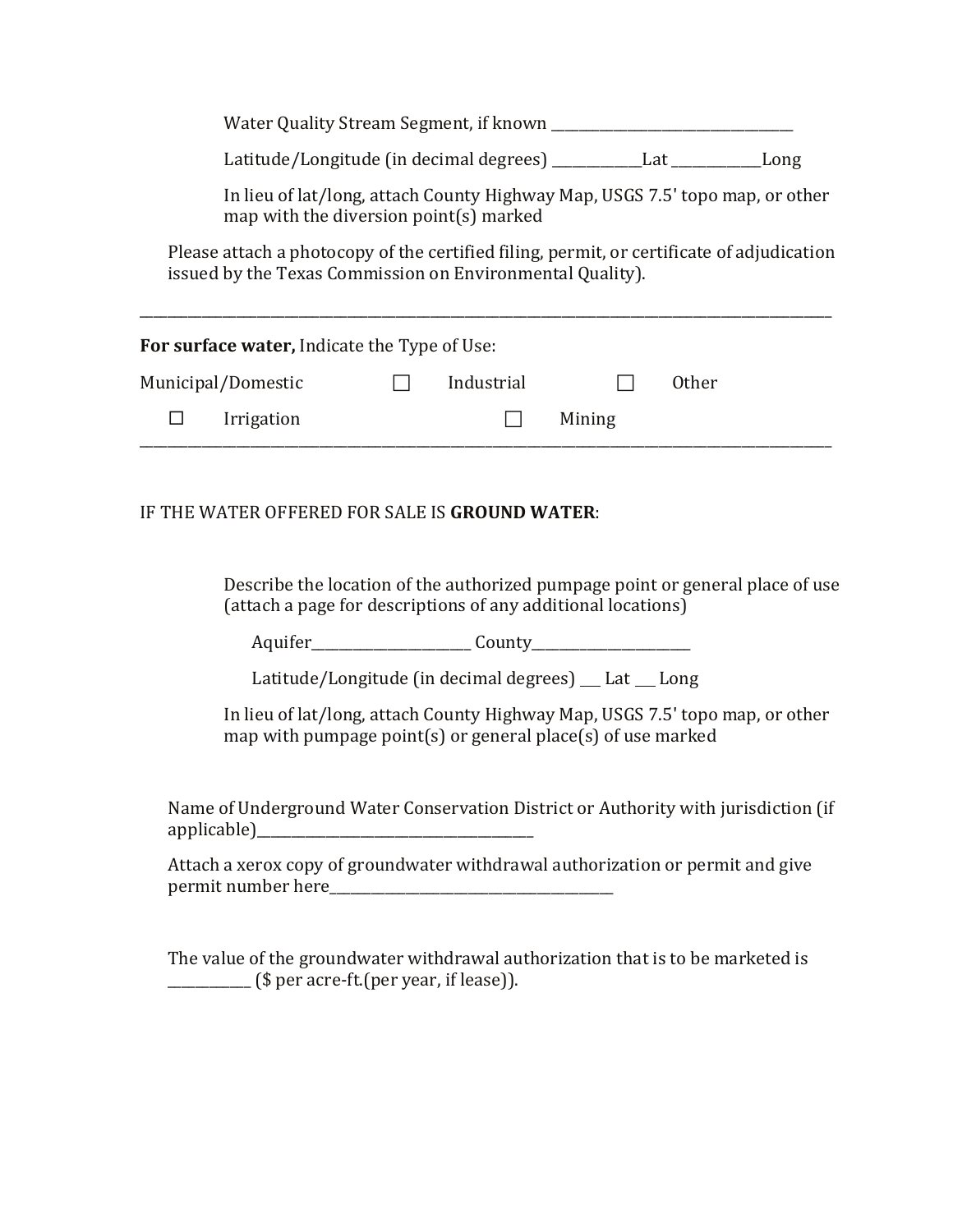| Water Quality Stream Segment, if known |
|----------------------------------------|
|                                        |

Latitude/Longitude (in decimal degrees) \_\_\_\_\_\_\_\_\_\_\_\_\_Lat \_\_\_\_\_\_\_\_\_\_\_\_\_Long

In lieu of lat/long, attach County Highway Map, USGS 7.5' topo map, or other map with the diversion point(s) marked

Please attach a photocopy of the certified filing, permit, or certificate of adjudication issued by the Texas Commission on Environmental Quality).

| For surface water, Indicate the Type of Use: |            |        |       |
|----------------------------------------------|------------|--------|-------|
| Municipal/Domestic                           | Industrial |        | 0ther |
| Irrigation                                   |            | Mining |       |

## IF THE WATER OFFERED FOR SALE IS **GROUND WATER**:

Describe the location of the authorized pumpage point or general place of use (attach a page for descriptions of any additional locations)

Aquifer\_\_\_\_\_\_\_\_\_\_\_\_\_\_\_\_\_\_\_\_\_\_\_ County\_\_\_\_\_\_\_\_\_\_\_\_\_\_\_\_\_\_\_\_\_\_\_

Latitude/Longitude (in decimal degrees) Lat Long

In lieu of lat/long, attach County Highway Map, USGS 7.5' topo map, or other map with pumpage point(s) or general place(s) of use marked

Name of Underground Water Conservation District or Authority with jurisdiction (if applicable)\_\_\_\_\_\_\_\_\_\_\_\_\_\_\_\_\_\_\_\_\_\_\_\_\_\_\_\_\_\_\_\_\_\_\_\_\_\_\_\_

Attach a xerox copy of groundwater withdrawal authorization or permit and give permit number here\_\_\_\_\_\_\_\_\_\_\_\_\_\_\_\_\_\_\_\_\_\_\_\_\_\_\_\_\_\_\_\_\_\_\_\_\_\_\_\_\_

The value of the groundwater withdrawal authorization that is to be marketed is  $\frac{1}{\sqrt{2}}$  (\$ per acre-ft.(per year, if lease)).